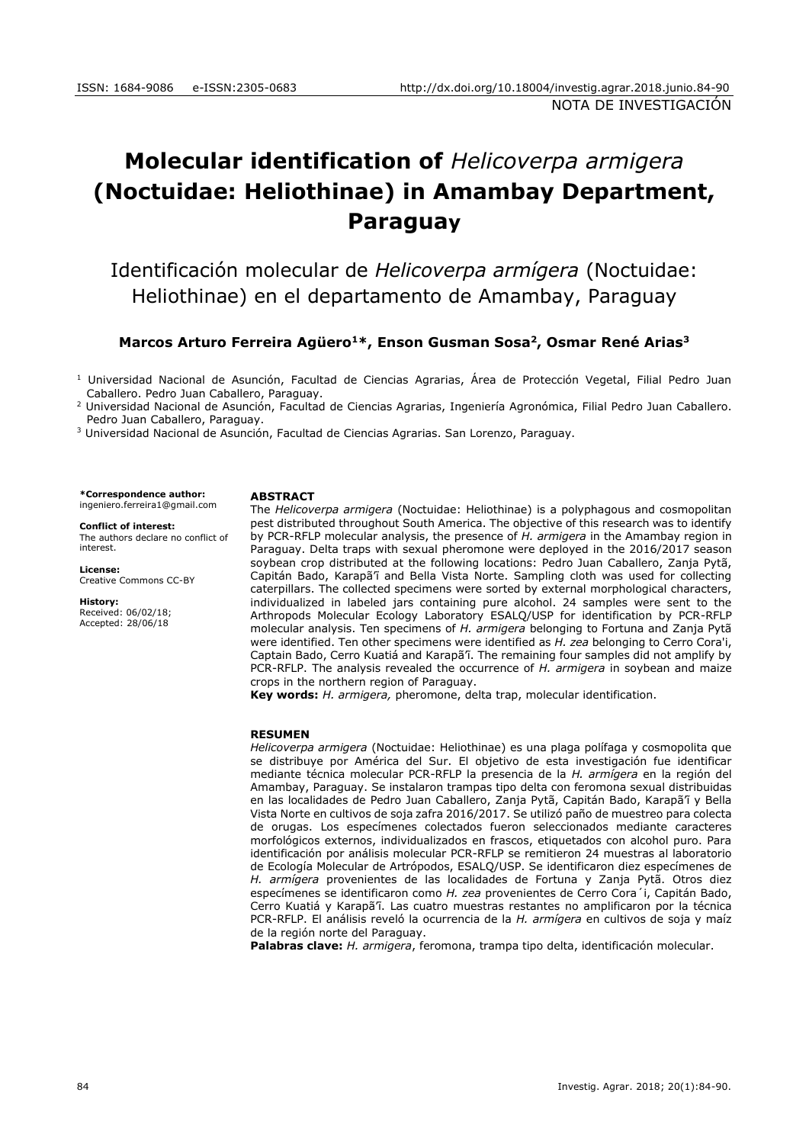# **Molecular identification of** *Helicoverpa armigera*  **(Noctuidae: Heliothinae) in Amambay Department, Paraguay**

Identificación molecular de *Helicoverpa armígera* (Noctuidae: Heliothinae) en el departamento de Amambay, Paraguay

## **Marcos Arturo Ferreira Agüero<sup>1</sup>\*, Enson Gusman Sosa<sup>2</sup> , Osmar René Arias<sup>3</sup>**

<sup>1</sup> Universidad Nacional de Asunción, Facultad de Ciencias Agrarias, Área de Protección Vegetal, Filial Pedro Juan Caballero. Pedro Juan Caballero, Paraguay.

<sup>2</sup> Universidad Nacional de Asunción, Facultad de Ciencias Agrarias, Ingeniería Agronómica, Filial Pedro Juan Caballero. Pedro Juan Caballero, Paraguay.

<sup>3</sup> Universidad Nacional de Asunción, Facultad de Ciencias Agrarias. San Lorenzo, Paraguay.

**\*Correspondence author:**

[ingeniero.ferreira1@gmail.com](mailto:ingeniero.ferreira1@gmail.com)

#### **Conflict of interest:** The authors declare no conflict of interest.

**License:** [Creative Commons CC-BY](https://creativecommons.org/licenses/by/4.0/)

**History:** Received: 06/02/18; Accepted: 28/06/18

## **ABSTRACT**

The *Helicoverpa armigera* (Noctuidae: Heliothinae) is a polyphagous and cosmopolitan pest distributed throughout South America. The objective of this research was to identify by PCR-RFLP molecular analysis, the presence of *H. armigera* in the Amambay region in Paraguay. Delta traps with sexual pheromone were deployed in the 2016/2017 season soybean crop distributed at the following locations: Pedro Juan Caballero, Zanja Pytã, Capitán Bado, Karapã'ĩ and Bella Vista Norte. Sampling cloth was used for collecting caterpillars. The collected specimens were sorted by external morphological characters, individualized in labeled jars containing pure alcohol. 24 samples were sent to the Arthropods Molecular Ecology Laboratory ESALQ/USP for identification by PCR-RFLP molecular analysis. Ten specimens of *H. armigera* belonging to Fortuna and Zanja Pytã were identified. Ten other specimens were identified as *H. zea* belonging to Cerro Cora'i, Captain Bado, Cerro Kuatiá and Karapã'ĩ. The remaining four samples did not amplify by PCR-RFLP. The analysis revealed the occurrence of *H. armigera* in soybean and maize crops in the northern region of Paraguay.

**Key words:** *H. armigera,* pheromone, delta trap, molecular identification.

#### **RESUMEN**

*Helicoverpa armigera* (Noctuidae: Heliothinae) es una plaga polífaga y cosmopolita que se distribuye por América del Sur. El objetivo de esta investigación fue identificar mediante técnica molecular PCR-RFLP la presencia de la *H. armígera* en la región del Amambay, Paraguay. Se instalaron trampas tipo delta con feromona sexual distribuidas en las localidades de Pedro Juan Caballero, Zanja Pytã, Capitán Bado, Karapã'ĩ y Bella Vista Norte en cultivos de soja zafra 2016/2017. Se utilizó paño de muestreo para colecta de orugas. Los especímenes colectados fueron seleccionados mediante caracteres morfológicos externos, individualizados en frascos, etiquetados con alcohol puro. Para identificación por análisis molecular PCR-RFLP se remitieron 24 muestras al laboratorio de Ecología Molecular de Artrópodos, ESALQ/USP. Se identificaron diez especímenes de *H. armígera* provenientes de las localidades de Fortuna y Zanja Pytã. Otros diez especímenes se identificaron como *H. zea* provenientes de Cerro Cora´i, Capitán Bado, Cerro Kuatiá y Karapã'ĩ. Las cuatro muestras restantes no amplificaron por la técnica PCR-RFLP. El análisis reveló la ocurrencia de la *H. armígera* en cultivos de soja y maíz de la región norte del Paraguay.

**Palabras clave:** *H. armigera*, feromona, trampa tipo delta, identificación molecular.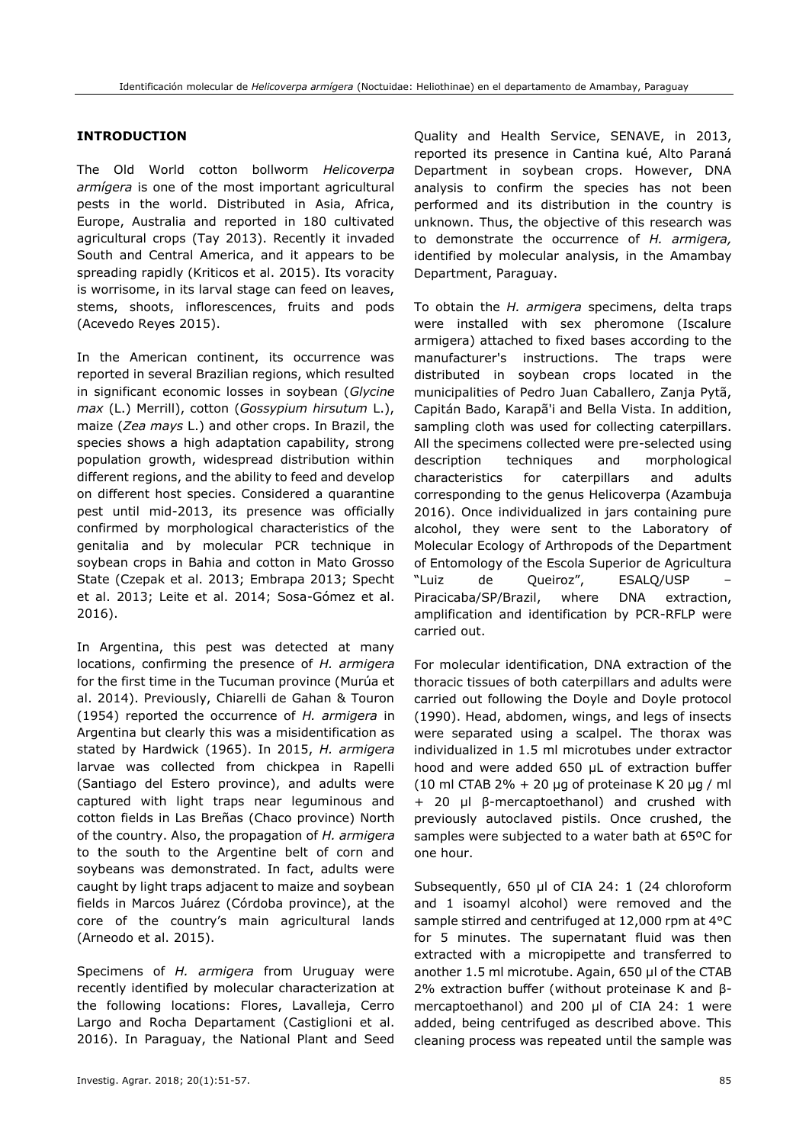# **INTRODUCTION**

The Old World cotton bollworm *Helicoverpa armígera* is one of the most important agricultural pests in the world. Distributed in Asia, Africa, Europe, Australia and reported in 180 cultivated agricultural crops (Tay 2013). Recently it invaded South and Central America, and it appears to be spreading rapidly (Kriticos et al. 2015). Its voracity is worrisome, in its larval stage can feed on leaves, stems, shoots, inflorescences, fruits and pods (Acevedo Reyes 2015).

In the American continent, its occurrence was reported in several Brazilian regions, which resulted in significant economic losses in soybean (*Glycine max* (L.) Merrill), cotton (*Gossypium hirsutum* L.), maize (*Zea mays* L.) and other crops. In Brazil, the species shows a high adaptation capability, strong population growth, widespread distribution within different regions, and the ability to feed and develop on different host species. Considered a quarantine pest until mid-2013, its presence was officially confirmed by morphological characteristics of the genitalia and by molecular PCR technique in soybean crops in Bahia and cotton in Mato Grosso State (Czepak et al. 2013; Embrapa 2013; Specht et al. 2013; Leite et al. 2014; Sosa-Gómez et al. 2016).

In Argentina, this pest was detected at many locations, confirming the presence of *H. armigera* for the first time in the Tucuman province (Murúa et al. 2014). Previously, Chiarelli de Gahan & Touron (1954) reported the occurrence of *H. armigera* in Argentina but clearly this was a misidentification as stated by Hardwick (1965). In 2015, *H. armigera* larvae was collected from chickpea in Rapelli (Santiago del Estero province), and adults were captured with light traps near leguminous and cotton fields in Las Breñas (Chaco province) North of the country. Also, the propagation of *H. armigera* to the south to the Argentine belt of corn and soybeans was demonstrated. In fact, adults were caught by light traps adjacent to maize and soybean fields in Marcos Juárez (Córdoba province), at the core of the country's main agricultural lands (Arneodo et al. 2015).

Specimens of *H. armigera* from Uruguay were recently identified by molecular characterization at the following locations: Flores, Lavalleja, Cerro Largo and Rocha Departament (Castiglioni et al. 2016). In Paraguay, the National Plant and Seed

reported its presence in Cantina kué, Alto Paraná Department in soybean crops. However, DNA analysis to confirm the species has not been performed and its distribution in the country is unknown. Thus, the objective of this research was to demonstrate the occurrence of *H. armigera,*  identified by molecular analysis, in the Amambay Department, Paraguay. To obtain the *H. armigera* specimens, delta traps

Quality and Health Service, SENAVE, in 2013,

were installed with sex pheromone (Iscalure armigera) attached to fixed bases according to the manufacturer's instructions. The traps were distributed in soybean crops located in the municipalities of Pedro Juan Caballero, Zanja Pytã, Capitán Bado, Karapã'i and Bella Vista. In addition, sampling cloth was used for collecting caterpillars. All the specimens collected were pre-selected using description techniques and morphological characteristics for caterpillars and adults corresponding to the genus Helicoverpa (Azambuja 2016). Once individualized in jars containing pure alcohol, they were sent to the Laboratory of Molecular Ecology of Arthropods of the Department of Entomology of the Escola Superior de Agricultura "Luiz de Queiroz", ESALQ/USP – Piracicaba/SP/Brazil, where DNA extraction, amplification and identification by PCR-RFLP were carried out.

For molecular identification, DNA extraction of the thoracic tissues of both caterpillars and adults were carried out following the Doyle and Doyle protocol (1990). Head, abdomen, wings, and legs of insects were separated using a scalpel. The thorax was individualized in 1.5 ml microtubes under extractor hood and were added 650 μL of extraction buffer (10 ml CTAB 2% + 20 μg of proteinase K 20 μg / ml + 20 μl β-mercaptoethanol) and crushed with previously autoclaved pistils. Once crushed, the samples were subjected to a water bath at 65ºC for one hour.

Subsequently, 650 μl of CIA 24: 1 (24 chloroform and 1 isoamyl alcohol) were removed and the sample stirred and centrifuged at 12,000 rpm at 4°C for 5 minutes. The supernatant fluid was then extracted with a micropipette and transferred to another 1.5 ml microtube. Again, 650 μl of the CTAB 2% extraction buffer (without proteinase K and βmercaptoethanol) and 200 μl of CIA 24: 1 were added, being centrifuged as described above. This cleaning process was repeated until the sample was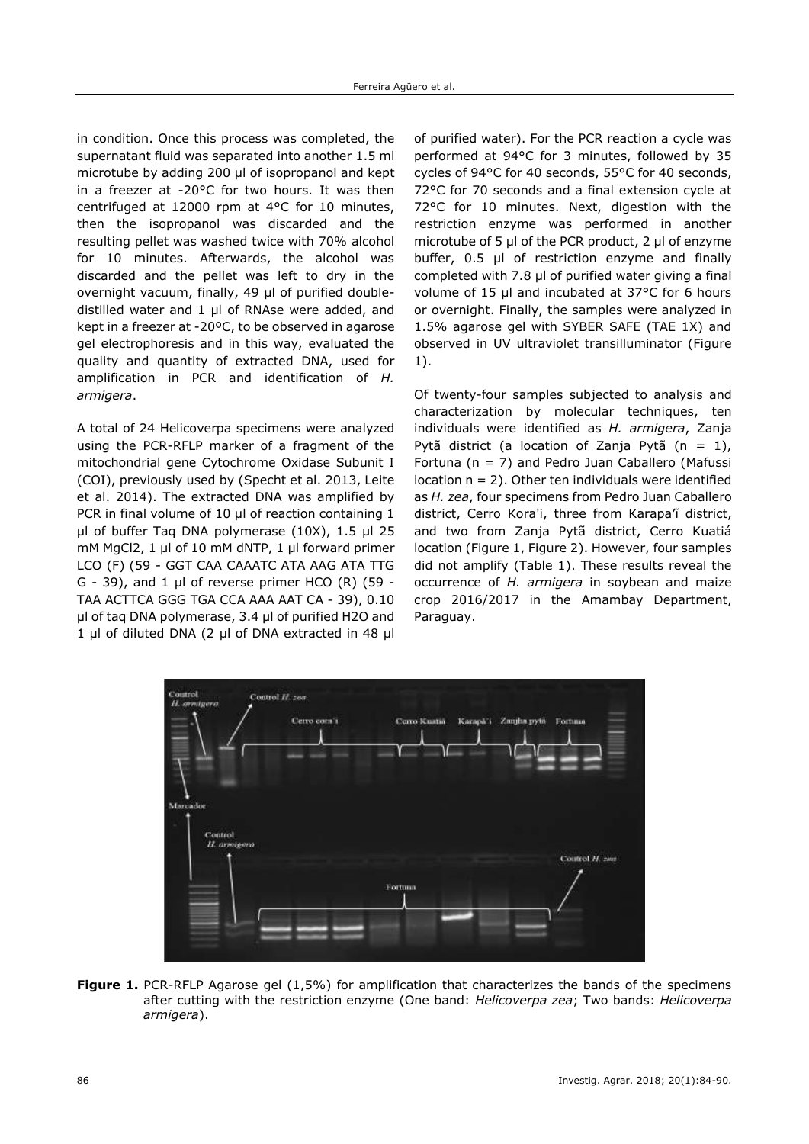in condition. Once this process was completed, the supernatant fluid was separated into another 1.5 ml microtube by adding 200 μl of isopropanol and kept in a freezer at -20°C for two hours. It was then centrifuged at 12000 rpm at 4°C for 10 minutes, then the isopropanol was discarded and the resulting pellet was washed twice with 70% alcohol for 10 minutes. Afterwards, the alcohol was discarded and the pellet was left to dry in the overnight vacuum, finally, 49 μl of purified doubledistilled water and 1 μl of RNAse were added, and kept in a freezer at -20ºC, to be observed in agarose gel electrophoresis and in this way, evaluated the quality and quantity of extracted DNA, used for amplification in PCR and identification of *H. armigera*.

A total of 24 Helicoverpa specimens were analyzed using the PCR-RFLP marker of a fragment of the mitochondrial gene Cytochrome Oxidase Subunit I (COI), previously used by (Specht et al. 2013, Leite et al. 2014). The extracted DNA was amplified by PCR in final volume of 10 μl of reaction containing 1 μl of buffer Taq DNA polymerase (10X), 1.5 μl 25 mM MgCl2, 1 μl of 10 mM dNTP, 1 μl forward primer LCO (F) (59 - GGT CAA CAAATC ATA AAG ATA TTG G - 39), and 1 μl of reverse primer HCO (R) (59 - TAA ACTTCA GGG TGA CCA AAA AAT CA - 39), 0.10 μl of taq DNA polymerase, 3.4 μl of purified H2O and 1 μl of diluted DNA (2 μl of DNA extracted in 48 μl of purified water). For the PCR reaction a cycle was performed at 94°C for 3 minutes, followed by 35 cycles of 94°C for 40 seconds, 55°C for 40 seconds, 72°C for 70 seconds and a final extension cycle at 72°C for 10 minutes. Next, digestion with the restriction enzyme was performed in another microtube of 5 μl of the PCR product, 2 μl of enzyme buffer, 0.5 μl of restriction enzyme and finally completed with 7.8 μl of purified water giving a final volume of 15 μl and incubated at 37°C for 6 hours or overnight. Finally, the samples were analyzed in 1.5% agarose gel with SYBER SAFE (TAE 1X) and observed in UV ultraviolet transilluminator (Figure 1).

Of twenty-four samples subjected to analysis and characterization by molecular techniques, ten individuals were identified as *H. armigera*, Zanja Pytã district (a location of Zanja Pytã (n = 1), Fortuna (n = 7) and Pedro Juan Caballero (Mafussi location  $n = 2$ ). Other ten individuals were identified as *H. zea*, four specimens from Pedro Juan Caballero district, Cerro Kora'i, three from Karapa'ĩ district, and two from Zanja Pytã district, Cerro Kuatiá location (Figure 1, Figure 2). However, four samples did not amplify (Table 1). These results reveal the occurrence of *H. armigera* in soybean and maize crop 2016/2017 in the Amambay Department, Paraguay.



**Figure 1.** PCR-RFLP Agarose gel (1,5%) for amplification that characterizes the bands of the specimens after cutting with the restriction enzyme (One band: *Helicoverpa zea*; Two bands: *Helicoverpa armigera*).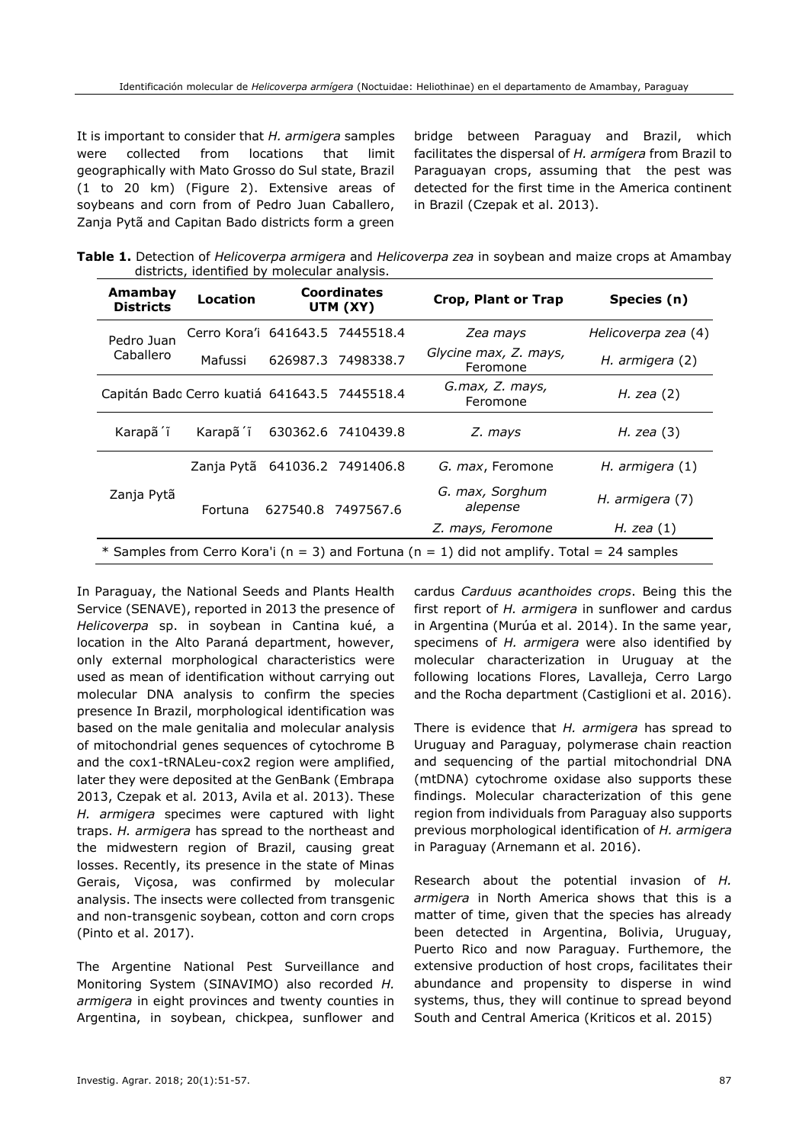It is important to consider that *H. armigera* samples were collected from locations that limit geographically with Mato Grosso do Sul state, Brazil (1 to 20 km) (Figure 2). Extensive areas of soybeans and corn from of Pedro Juan Caballero, Zanja Pytã and Capitan Bado districts form a green

bridge between Paraguay and Brazil, which facilitates the dispersal of *H. armígera* from Brazil to Paraguayan crops, assuming that the pest was detected for the first time in the America continent in Brazil (Czepak et al. 2013).

| Table 1. Detection of Helicoverpa armigera and Helicoverpa zea in soybean and maize crops at Amambay |  |  |  |  |
|------------------------------------------------------------------------------------------------------|--|--|--|--|
| districts, identified by molecular analysis.                                                         |  |  |  |  |

| Amambay<br><b>Districts</b>                                                                 | Location                        | <b>Coordinates</b><br>UTM (XY) |                    | Crop, Plant or Trap               | Species (n)         |  |  |  |
|---------------------------------------------------------------------------------------------|---------------------------------|--------------------------------|--------------------|-----------------------------------|---------------------|--|--|--|
| Pedro Juan                                                                                  | Cerro Kora'i 641643.5 7445518.4 |                                |                    | Zea mays                          | Helicoverpa zea (4) |  |  |  |
| Caballero                                                                                   | Mafussi                         |                                | 626987.3 7498338.7 | Glycine max, Z. mays,<br>Feromone | H. armigera (2)     |  |  |  |
| Capitán Badc Cerro kuatiá 641643.5 7445518.4                                                |                                 |                                |                    | G.max, Z. mays,<br>Feromone       | H. zea $(2)$        |  |  |  |
| Karapã <sup>'</sup> i                                                                       | Karapã <sup>r</sup> ĩ           |                                | 630362.6 7410439.8 | Z. mays                           | H. zea $(3)$        |  |  |  |
|                                                                                             | Zanja Pytã                      |                                | 641036.2 7491406.8 | G. max, Feromone                  | H. armigera $(1)$   |  |  |  |
| Zanja Pytã                                                                                  | Fortuna                         |                                | 627540.8 7497567.6 | G. max, Sorghum<br>alepense       | H. armigera (7)     |  |  |  |
|                                                                                             |                                 |                                |                    | Z. mays, Feromone                 | H. zea $(1)$        |  |  |  |
| * Samples from Cerro Kora'i (n = 3) and Fortuna (n = 1) did not amplify. Total = 24 samples |                                 |                                |                    |                                   |                     |  |  |  |

In Paraguay, the National Seeds and Plants Health Service (SENAVE), reported in 2013 the presence of *Helicoverpa* sp. in soybean in Cantina kué, a location in the Alto Paraná department, however, only external morphological characteristics were used as mean of identification without carrying out molecular DNA analysis to confirm the species presence In Brazil, morphological identification was based on the male genitalia and molecular analysis of mitochondrial genes sequences of cytochrome B and the cox1-tRNALeu-cox2 region were amplified, later they were deposited at the GenBank (Embrapa 2013, Czepak et al*.* 2013, Avila et al. 2013). These *H. armigera* specimes were captured with light traps. *H. armigera* has spread to the northeast and the midwestern region of Brazil, causing great losses. Recently, its presence in the state of Minas Gerais, Viçosa, was confirmed by molecular analysis. The insects were collected from transgenic and non-transgenic soybean, cotton and corn crops (Pinto et al. 2017).

The Argentine National Pest Surveillance and Monitoring System (SINAVIMO) also recorded *H. armigera* in eight provinces and twenty counties in Argentina, in soybean, chickpea, sunflower and cardus *Carduus acanthoides crops*. Being this the first report of *H. armigera* in sunflower and cardus in Argentina (Murúa et al. 2014). In the same year, specimens of *H. armigera* were also identified by molecular characterization in Uruguay at the following locations Flores, Lavalleja, Cerro Largo and the Rocha department (Castiglioni et al. 2016).

There is evidence that *H. armigera* has spread to Uruguay and Paraguay, polymerase chain reaction and sequencing of the partial mitochondrial DNA (mtDNA) cytochrome oxidase also supports these findings. Molecular characterization of this gene region from individuals from Paraguay also supports previous morphological identification of *H. armigera* in Paraguay (Arnemann et al. 2016).

Research about the potential invasion of *H. armigera* in North America shows that this is a matter of time, given that the species has already been detected in Argentina, Bolivia, Uruguay, Puerto Rico and now Paraguay. Furthemore, the extensive production of host crops, facilitates their abundance and propensity to disperse in wind systems, thus, they will continue to spread beyond South and Central America (Kriticos et al. 2015)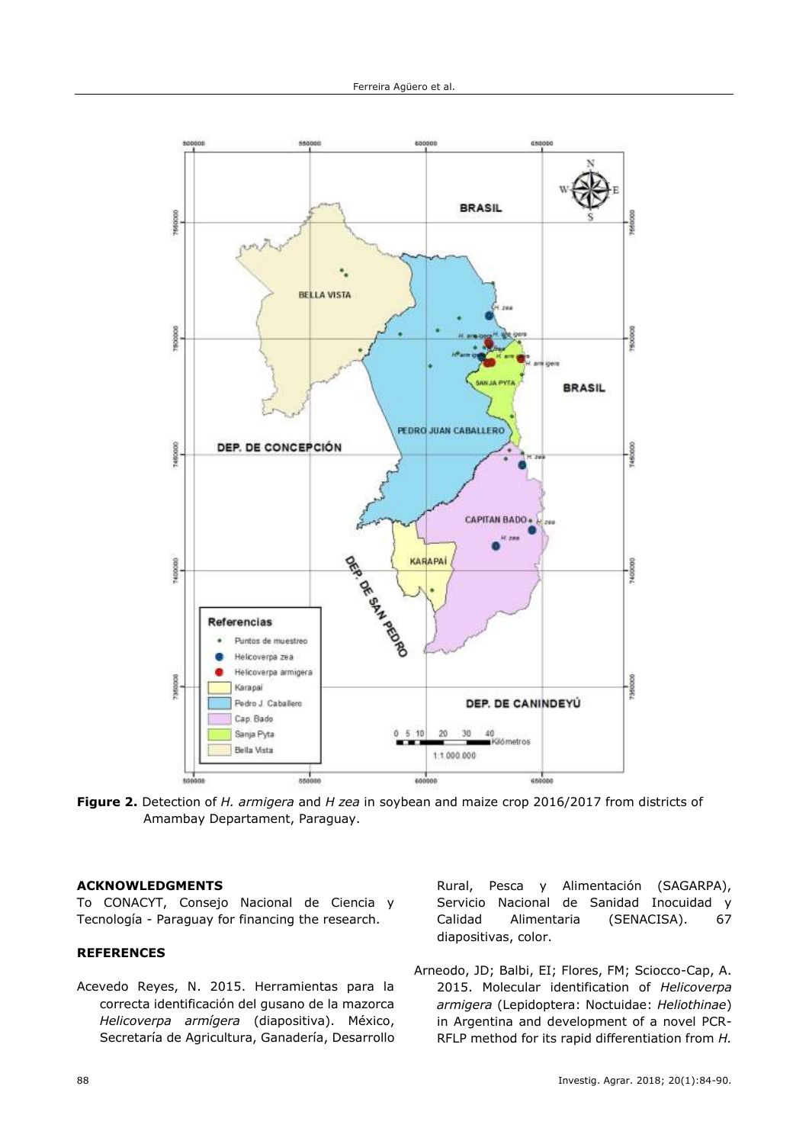

**Figure 2.** Detection of *H. armigera* and *H zea* in soybean and maize crop 2016/2017 from districts of Amambay Departament, Paraguay.

# **ACKNOWLEDGMENTS**

To CONACYT, Consejo Nacional de Ciencia y Tecnología - Paraguay for financing the research.

# **REFERENCES**

Acevedo Reyes, N. 2015. Herramientas para la correcta identificación del gusano de la mazorca *Helicoverpa armígera* (diapositiva). México, Secretaría de Agricultura, Ganadería, Desarrollo Rural, Pesca y Alimentación (SAGARPA), Servicio Nacional de Sanidad Inocuidad y Calidad Alimentaria (SENACISA). 67 diapositivas, color.

Arneodo, JD; Balbi, EI; Flores, FM; Sciocco-Cap, A. 2015. Molecular identification of *Helicoverpa armigera* (Lepidoptera: Noctuidae: *Heliothinae*) in Argentina and development of a novel PCR-RFLP method for its rapid differentiation from *H.*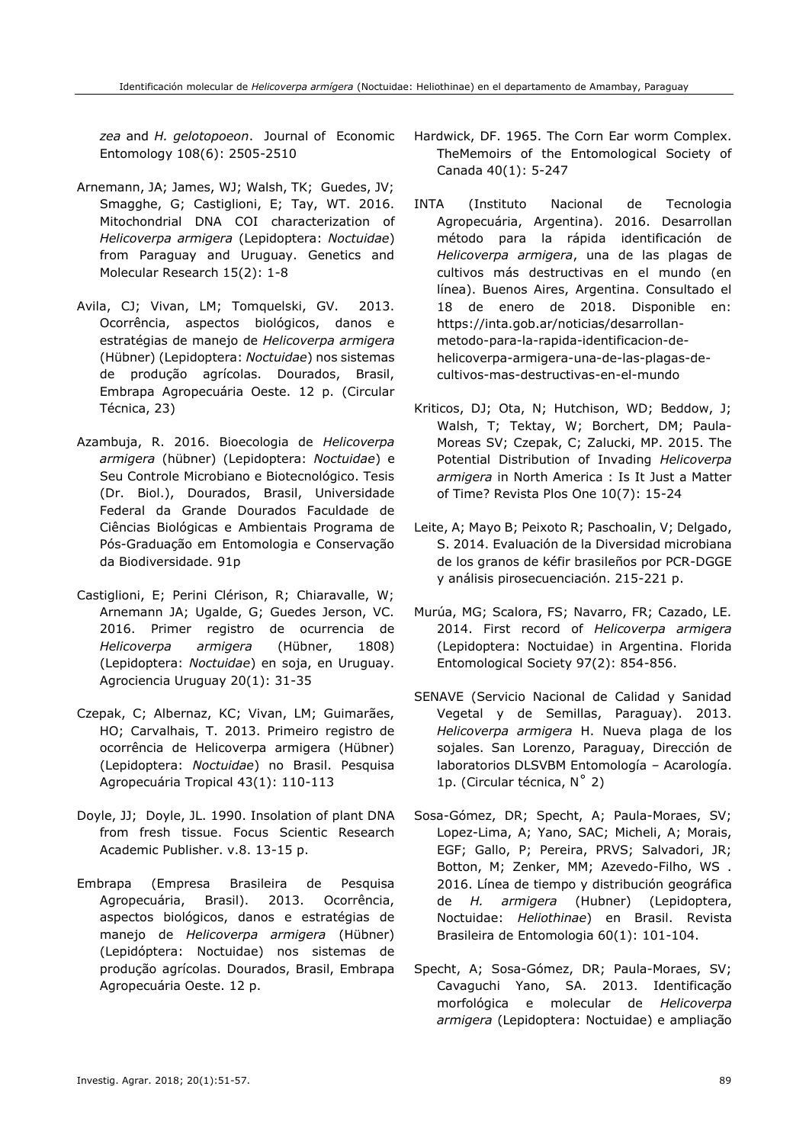*zea* and *H. gelotopoeon*. Journal of Economic Entomology 108(6): 2505-2510

- Arnemann, JA; James, WJ; Walsh, TK; Guedes, JV; Smagghe, G; Castiglioni, E; Tay, WT. 2016. Mitochondrial DNA COI characterization of *Helicoverpa armigera* (Lepidoptera: *Noctuidae*) from Paraguay and Uruguay. Genetics and Molecular Research 15(2): 1-8
- Avila, CJ; Vivan, LM; Tomquelski, GV. 2013. Ocorrência, aspectos biológicos, danos e estratégias de manejo de *Helicoverpa armigera* (Hübner) (Lepidoptera: *Noctuidae*) nos sistemas de produção agrícolas. Dourados, Brasil, Embrapa Agropecuária Oeste. 12 p. (Circular Técnica, 23)
- Azambuja, R. 2016. Bioecologia de *Helicoverpa armigera* (hübner) (Lepidoptera: *Noctuidae*) e Seu Controle Microbiano e Biotecnológico. Tesis (Dr. Biol.), Dourados, Brasil, Universidade Federal da Grande Dourados Faculdade de Ciências Biológicas e Ambientais Programa de Pós-Graduação em Entomologia e Conservação da Biodiversidade. 91p
- Castiglioni, E; Perini Clérison, R; Chiaravalle, W; Arnemann JA; Ugalde, G; Guedes Jerson, VC. 2016. Primer registro de ocurrencia de *Helicoverpa armigera* (Hübner, 1808) (Lepidoptera: *Noctuidae*) en soja, en Uruguay. Agrociencia Uruguay 20(1): 31-35
- Czepak, C; Albernaz, KC; Vivan, LM; Guimarães, HO; Carvalhais, T. 2013. Primeiro registro de ocorrência de Helicoverpa armigera (Hübner) (Lepidoptera: *Noctuidae*) no Brasil. Pesquisa Agropecuária Tropical 43(1): 110-113
- Doyle, JJ; Doyle, JL. 1990. Insolation of plant DNA from fresh tissue. Focus Scientic Research Academic Publisher. v.8. 13-15 p.
- Embrapa (Empresa Brasileira de Pesquisa Agropecuária, Brasil). 2013. Ocorrência, aspectos biológicos, danos e estratégias de manejo de *Helicoverpa armigera* (Hübner) (Lepidóptera: Noctuidae) nos sistemas de produção agrícolas. Dourados, Brasil, Embrapa Agropecuária Oeste. 12 p.
- Hardwick, DF. 1965. The Corn Ear worm Complex. TheMemoirs of the Entomological Society of Canada 40(1): 5-247
- INTA (Instituto Nacional de Tecnologia Agropecuária, Argentina). 2016. Desarrollan método para la rápida identificación de *Helicoverpa armigera*, una de las plagas de cultivos más destructivas en el mundo (en línea). Buenos Aires, Argentina. Consultado el 18 de enero de 2018. Disponible en: https://inta.gob.ar/noticias/desarrollanmetodo-para-la-rapida-identificacion-dehelicoverpa-armigera-una-de-las-plagas-decultivos-mas-destructivas-en-el-mundo
- Kriticos, DJ; Ota, N; Hutchison, WD; Beddow, J; Walsh, T; Tektay, W; Borchert, DM; Paula-Moreas SV; Czepak, C; Zalucki, MP. 2015. The Potential Distribution of Invading *Helicoverpa armigera* in North America : Is It Just a Matter of Time? Revista Plos One 10(7): 15-24
- Leite, A; Mayo B; Peixoto R; Paschoalin, V; Delgado, S. 2014. Evaluación de la Diversidad microbiana de los granos de kéfir brasileños por PCR-DGGE y análisis pirosecuenciación. 215-221 p.
- Murúa, MG; Scalora, FS; Navarro, FR; Cazado, LE. 2014. First record of *Helicoverpa armigera* (Lepidoptera: Noctuidae) in Argentina. Florida Entomological Society 97(2): 854-856.
- SENAVE (Servicio Nacional de Calidad y Sanidad Vegetal y de Semillas, Paraguay). 2013. *Helicoverpa armigera* H. Nueva plaga de los sojales. San Lorenzo, Paraguay, Dirección de laboratorios DLSVBM Entomología – Acarología. 1p. (Circular técnica, N˚ 2)
- Sosa-Gómez, DR; Specht, A; Paula-Moraes, SV; Lopez-Lima, A; Yano, SAC; Micheli, A; Morais, EGF; Gallo, P; Pereira, PRVS; Salvadori, JR; Botton, M; Zenker, MM; Azevedo-Filho, WS . 2016. Línea de tiempo y distribución geográfica de *H. armigera* (Hubner) (Lepidoptera, Noctuidae: *Heliothinae*) en Brasil. Revista Brasileira de Entomologia 60(1): 101-104.
- Specht, A; Sosa-Gómez, DR; Paula-Moraes, SV; Cavaguchi Yano, SA. 2013. Identificação morfológica e molecular de *Helicoverpa armigera* (Lepidoptera: Noctuidae) e ampliação